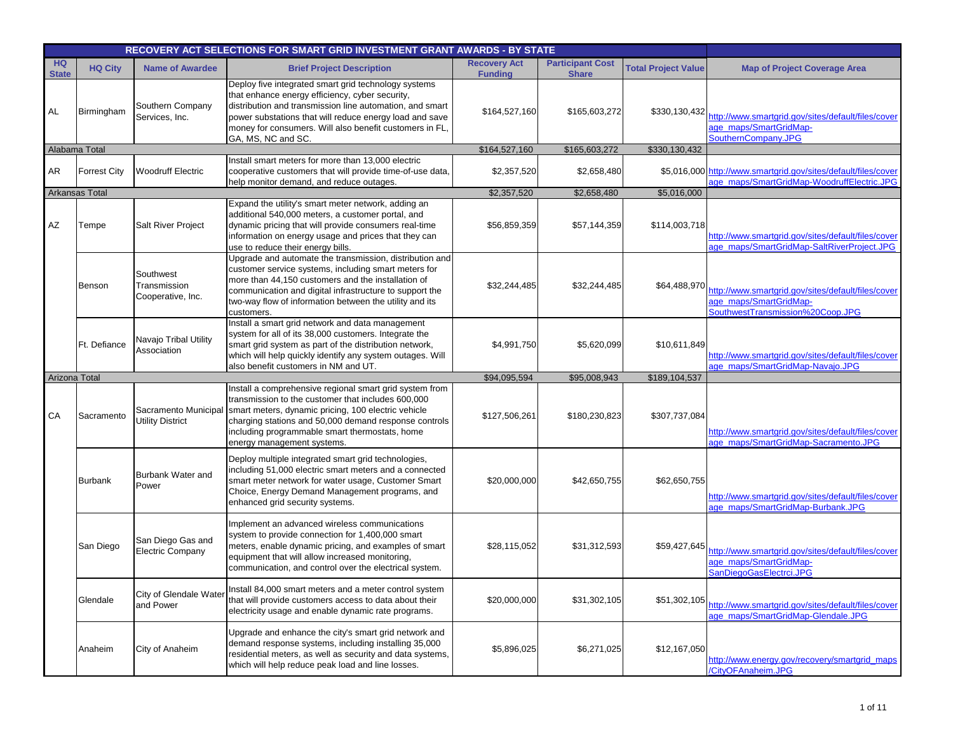|                           |                       |                                                 | RECOVERY ACT SELECTIONS FOR SMART GRID INVESTMENT GRANT AWARDS - BY STATE                                                                                                                                                                                                                                       |                                       |                                         |                            |                                                                                                                  |
|---------------------------|-----------------------|-------------------------------------------------|-----------------------------------------------------------------------------------------------------------------------------------------------------------------------------------------------------------------------------------------------------------------------------------------------------------------|---------------------------------------|-----------------------------------------|----------------------------|------------------------------------------------------------------------------------------------------------------|
| <b>HQ</b><br><b>State</b> | <b>HQ City</b>        | <b>Name of Awardee</b>                          | <b>Brief Project Description</b>                                                                                                                                                                                                                                                                                | <b>Recovery Act</b><br><b>Funding</b> | <b>Participant Cost</b><br><b>Share</b> | <b>Total Project Value</b> | <b>Map of Project Coverage Area</b>                                                                              |
| AL                        | Birmingham            | Southern Company<br>Services, Inc.              | Deploy five integrated smart grid technology systems<br>that enhance energy efficiency, cyber security,<br>distribution and transmission line automation, and smart<br>power substations that will reduce energy load and save<br>money for consumers. Will also benefit customers in FL,<br>GA, MS, NC and SC. | \$164,527,160                         | \$165,603,272                           | \$330,130,432              | http://www.smartgrid.gov/sites/default/files/cover<br>age maps/SmartGridMap-<br>SouthernCompany.JPG              |
|                           | Alabama Total         |                                                 |                                                                                                                                                                                                                                                                                                                 | \$164,527,160                         | \$165,603,272                           | \$330,130,432              |                                                                                                                  |
| AR                        | <b>Forrest City</b>   | <b>Woodruff Electric</b>                        | Install smart meters for more than 13,000 electric<br>cooperative customers that will provide time-of-use data,<br>help monitor demand, and reduce outages.                                                                                                                                                     | \$2,357,520                           | \$2,658,480                             |                            | \$5,016,000 http://www.smartgrid.gov/sites/default/files/cover<br>age_maps/SmartGridMap-WoodruffElectric.JPG     |
|                           | <b>Arkansas Total</b> |                                                 |                                                                                                                                                                                                                                                                                                                 | \$2,357,520                           | \$2,658,480                             | \$5,016,000                |                                                                                                                  |
| AZ                        | Tempe                 | <b>Salt River Project</b>                       | Expand the utility's smart meter network, adding an<br>additional 540,000 meters, a customer portal, and<br>dynamic pricing that will provide consumers real-time<br>information on energy usage and prices that they can<br>use to reduce their energy bills.                                                  | \$56,859,359                          | \$57,144,359                            | \$114,003,718              | http://www.smartgrid.gov/sites/default/files/cover<br>age_maps/SmartGridMap-SaltRiverProject.JPG                 |
|                           | Benson                | Southwest<br>Transmission<br>Cooperative, Inc.  | Upgrade and automate the transmission, distribution and<br>customer service systems, including smart meters for<br>more than 44,150 customers and the installation of<br>communication and digital infrastructure to support the<br>two-way flow of information between the utility and its<br>customers.       | \$32,244,485                          | \$32,244,485                            | \$64,488,970               | http://www.smartgrid.gov/sites/default/files/cover<br>age maps/SmartGridMap-<br>SouthwestTransmission%20Coop.JPG |
|                           | Ft. Defiance          | Navajo Tribal Utility<br>Association            | Install a smart grid network and data management<br>system for all of its 38,000 customers. Integrate the<br>smart grid system as part of the distribution network,<br>which will help quickly identify any system outages. Will<br>also benefit customers in NM and UT.                                        | \$4,991,750                           | \$5,620,099                             | \$10,611,849               | http://www.smartgrid.gov/sites/default/files/cover<br>age_maps/SmartGridMap-Navajo.JPG                           |
| Arizona Total             |                       |                                                 |                                                                                                                                                                                                                                                                                                                 | \$94,095,594                          | \$95,008,943                            | \$189,104,537              |                                                                                                                  |
| CA                        | Sacramento            | Sacramento Municipal<br><b>Utility District</b> | Install a comprehensive regional smart grid system from<br>transmission to the customer that includes 600,000<br>smart meters, dynamic pricing, 100 electric vehicle<br>charging stations and 50,000 demand response controls<br>including programmable smart thermostats, home<br>energy management systems.   | \$127,506,261                         | \$180,230,823                           | \$307,737,084              | http://www.smartgrid.gov/sites/default/files/cover<br>age maps/SmartGridMap-Sacramento.JPG                       |
|                           | Burbank               | Burbank Water and<br>Power                      | Deploy multiple integrated smart grid technologies,<br>including 51,000 electric smart meters and a connected<br>smart meter network for water usage, Customer Smart<br>Choice, Energy Demand Management programs, and<br>enhanced grid security systems.                                                       | \$20,000,000                          | \$42,650,755                            | \$62,650,755               | http://www.smartgrid.gov/sites/default/files/cover<br>age maps/SmartGridMap-Burbank.JPG                          |
|                           | San Diego             | San Diego Gas and<br>Electric Company           | Implement an advanced wireless communications<br>system to provide connection for 1,400,000 smart<br>meters, enable dynamic pricing, and examples of smart<br>equipment that will allow increased monitoring,<br>communication, and control over the electrical system.                                         | \$28,115,052                          | \$31,312,593                            | \$59,427,645               | http://www.smartgrid.gov/sites/default/files/cover<br>age maps/SmartGridMap-<br>SanDiegoGasElectrci.JPG          |
|                           | Glendale              | City of Glendale Water<br>and Power             | Install 84,000 smart meters and a meter control system<br>that will provide customers access to data about their<br>electricity usage and enable dynamic rate programs.                                                                                                                                         | \$20,000,000                          | \$31,302,105                            | \$51,302,105               | http://www.smartgrid.gov/sites/default/files/cover<br>age_maps/SmartGridMap-Glendale.JPG                         |
|                           | Anaheim               | City of Anaheim                                 | Upgrade and enhance the city's smart grid network and<br>demand response systems, including installing 35,000<br>residential meters, as well as security and data systems,<br>which will help reduce peak load and line losses.                                                                                 | \$5,896,025                           | \$6,271,025                             | \$12,167,050               | http://www.energy.gov/recovery/smartgrid_maps<br>/CityOFAnaheim.JPG                                              |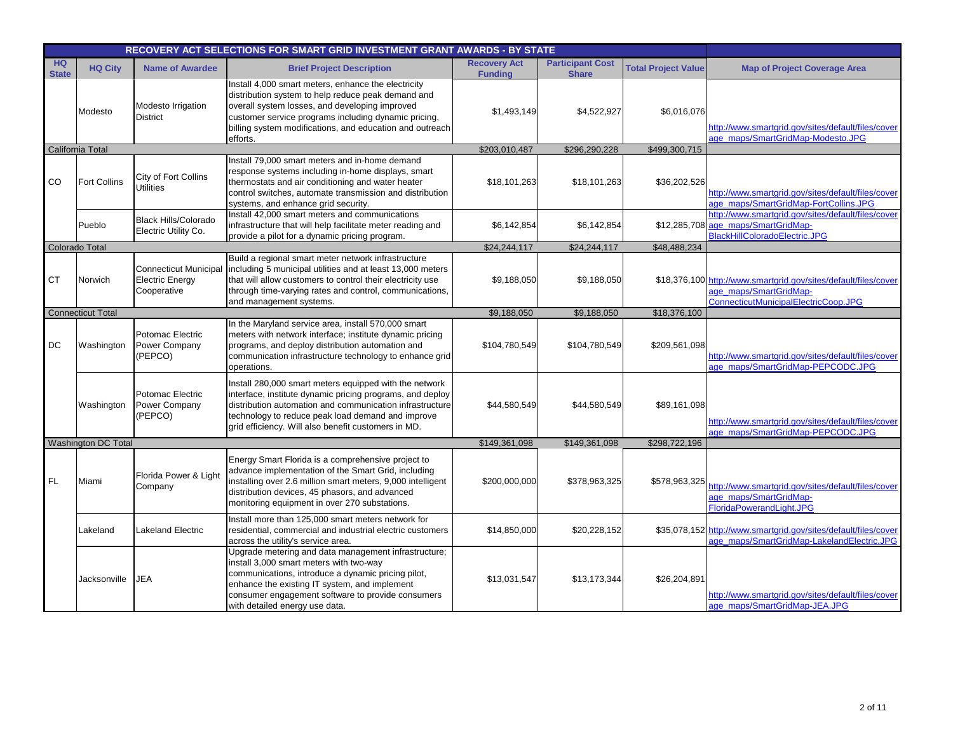|                           |                          |                                                                       | RECOVERY ACT SELECTIONS FOR SMART GRID INVESTMENT GRANT AWARDS - BY STATE                                                                                                                                                                                                                     |                                       |                                         |                            |                                                                                                                                   |
|---------------------------|--------------------------|-----------------------------------------------------------------------|-----------------------------------------------------------------------------------------------------------------------------------------------------------------------------------------------------------------------------------------------------------------------------------------------|---------------------------------------|-----------------------------------------|----------------------------|-----------------------------------------------------------------------------------------------------------------------------------|
| <b>HQ</b><br><b>State</b> | <b>HQ City</b>           | <b>Name of Awardee</b>                                                | <b>Brief Project Description</b>                                                                                                                                                                                                                                                              | <b>Recovery Act</b><br><b>Funding</b> | <b>Participant Cost</b><br><b>Share</b> | <b>Total Project Value</b> | <b>Map of Project Coverage Area</b>                                                                                               |
|                           | Modesto                  | Modesto Irrigation<br><b>District</b>                                 | Install 4,000 smart meters, enhance the electricity<br>distribution system to help reduce peak demand and<br>overall system losses, and developing improved<br>customer service programs including dynamic pricing,<br>billing system modifications, and education and outreach<br>efforts.   | \$1,493,149                           | \$4,522,927                             | \$6,016,076                | http://www.smartgrid.gov/sites/default/files/cover<br>age maps/SmartGridMap-Modesto.JPG                                           |
|                           | California Total         |                                                                       |                                                                                                                                                                                                                                                                                               | \$203,010,487                         | \$296,290,228                           | \$499,300,715              |                                                                                                                                   |
| CO                        | Fort Collins             | City of Fort Collins<br><b>Utilities</b>                              | Install 79,000 smart meters and in-home demand<br>response systems including in-home displays, smart<br>thermostats and air conditioning and water heater<br>control switches, automate transmission and distribution<br>systems, and enhance grid security.                                  | \$18,101,263                          | \$18,101,263                            | \$36,202,526               | http://www.smartgrid.gov/sites/default/files/cover<br>age maps/SmartGridMap-FortCollins.JPG                                       |
|                           | Pueblo                   | <b>Black Hills/Colorado</b><br>Electric Utility Co.                   | Install 42,000 smart meters and communications<br>infrastructure that will help facilitate meter reading and<br>provide a pilot for a dynamic pricing program.                                                                                                                                | \$6,142,854                           | \$6,142,854                             |                            | http://www.smartgrid.gov/sites/default/files/cover<br>\$12,285,708 age_maps/SmartGridMap-<br>BlackHillColoradoElectric.JPG        |
|                           | <b>Colorado Total</b>    |                                                                       |                                                                                                                                                                                                                                                                                               | \$24,244,117                          | \$24,244,117                            | \$48,488,234               |                                                                                                                                   |
| <b>CT</b>                 | Norwich                  | <b>Connecticut Municipal</b><br><b>Electric Energy</b><br>Cooperative | Build a regional smart meter network infrastructure<br>including 5 municipal utilities and at least 13,000 meters<br>that will allow customers to control their electricity use<br>through time-varying rates and control, communications,<br>and management systems.                         | \$9,188,050                           | \$9,188,050                             |                            | \$18,376,100 http://www.smartgrid.gov/sites/default/files/cover<br>age maps/SmartGridMap-<br>ConnecticutMunicipalElectricCoop.JPG |
|                           | <b>Connecticut Total</b> |                                                                       |                                                                                                                                                                                                                                                                                               | \$9,188,050                           | \$9,188,050                             | \$18,376,100               |                                                                                                                                   |
| <b>DC</b>                 | Washington               | Potomac Electric<br>Power Company<br>(PEPCO)                          | In the Maryland service area, install 570,000 smart<br>meters with network interface; institute dynamic pricing<br>programs, and deploy distribution automation and<br>communication infrastructure technology to enhance grid<br>operations.                                                 | \$104,780,549                         | \$104,780,549                           | \$209,561,098              | http://www.smartgrid.gov/sites/default/files/cover<br>age_maps/SmartGridMap-PEPCODC.JPG                                           |
|                           | Washington               | Potomac Electric<br>Power Company<br>(PEPCO)                          | Install 280,000 smart meters equipped with the network<br>interface, institute dynamic pricing programs, and deploy<br>distribution automation and communication infrastructure<br>technology to reduce peak load demand and improve<br>grid efficiency. Will also benefit customers in MD.   | \$44,580,549                          | \$44,580,549                            | \$89,161,098               | http://www.smartgrid.gov/sites/default/files/cover<br>age maps/SmartGridMap-PEPCODC.JPG                                           |
|                           | Washington DC Total      |                                                                       |                                                                                                                                                                                                                                                                                               | \$149,361,098                         | \$149,361,098                           | \$298,722,196              |                                                                                                                                   |
| FL.                       | Miami                    | Florida Power & Light<br>Company                                      | Energy Smart Florida is a comprehensive project to<br>advance implementation of the Smart Grid, including<br>installing over 2.6 million smart meters, 9,000 intelligent<br>distribution devices, 45 phasors, and advanced<br>monitoring equipment in over 270 substations.                   | \$200,000,000                         | \$378,963,325                           | \$578,963,325              | http://www.smartgrid.gov/sites/default/files/cover<br>age_maps/SmartGridMap-<br>FloridaPowerandLight.JPG                          |
|                           | Lakeland                 | <b>Lakeland Electric</b>                                              | Install more than 125,000 smart meters network for<br>residential, commercial and industrial electric customers<br>across the utility's service area.                                                                                                                                         | \$14,850,000                          | \$20,228,152                            |                            | \$35,078,152 http://www.smartgrid.gov/sites/default/files/cover<br>age maps/SmartGridMap-LakelandElectric.JPG                     |
|                           | Jacksonville             | <b>JEA</b>                                                            | Upgrade metering and data management infrastructure;<br>install 3,000 smart meters with two-way<br>communications, introduce a dynamic pricing pilot,<br>enhance the existing IT system, and implement<br>consumer engagement software to provide consumers<br>with detailed energy use data. | \$13,031,547                          | \$13,173,344                            | \$26,204,891               | http://www.smartgrid.gov/sites/default/files/cover<br>age maps/SmartGridMap-JEA.JPG                                               |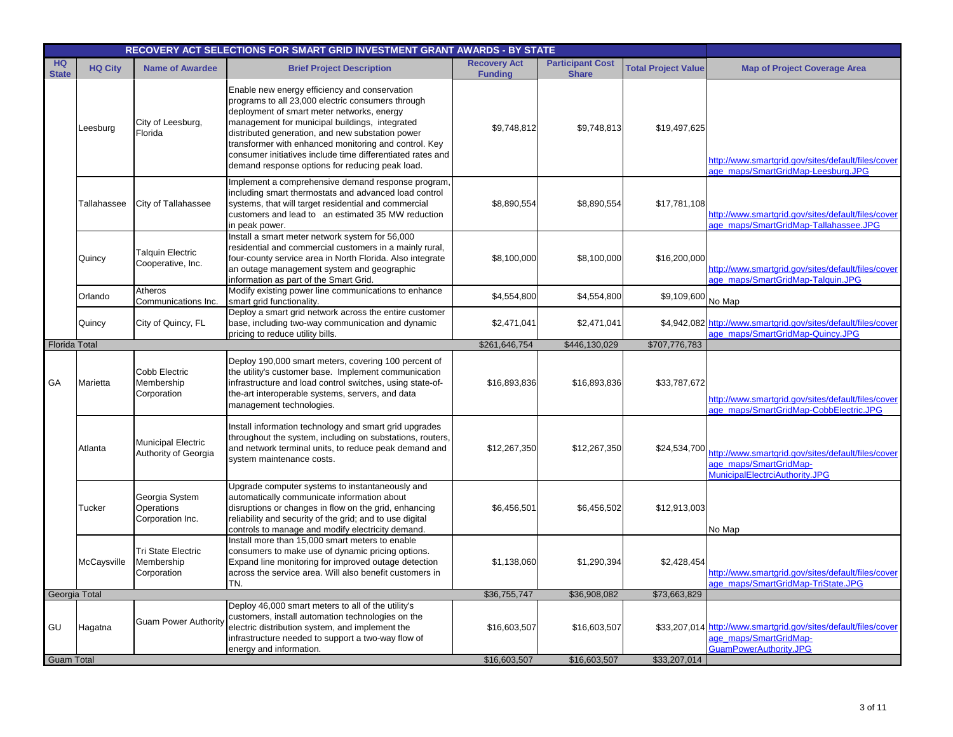|                           | RECOVERY ACT SELECTIONS FOR SMART GRID INVESTMENT GRANT AWARDS - BY STATE |                                                   |                                                                                                                                                                                                                                                                                                                                                                                                                                  |                                       |                                         |                            |                                                                                                                     |  |  |
|---------------------------|---------------------------------------------------------------------------|---------------------------------------------------|----------------------------------------------------------------------------------------------------------------------------------------------------------------------------------------------------------------------------------------------------------------------------------------------------------------------------------------------------------------------------------------------------------------------------------|---------------------------------------|-----------------------------------------|----------------------------|---------------------------------------------------------------------------------------------------------------------|--|--|
| <b>HQ</b><br><b>State</b> | <b>HQ City</b>                                                            | <b>Name of Awardee</b>                            | <b>Brief Project Description</b>                                                                                                                                                                                                                                                                                                                                                                                                 | <b>Recovery Act</b><br><b>Funding</b> | <b>Participant Cost</b><br><b>Share</b> | <b>Total Project Value</b> | <b>Map of Project Coverage Area</b>                                                                                 |  |  |
|                           | Leesburg                                                                  | City of Leesburg,<br>Florida                      | Enable new energy efficiency and conservation<br>programs to all 23,000 electric consumers through<br>deployment of smart meter networks, energy<br>management for municipal buildings, integrated<br>distributed generation, and new substation power<br>transformer with enhanced monitoring and control. Key<br>consumer initiatives include time differentiated rates and<br>demand response options for reducing peak load. | \$9,748,812                           | \$9,748,813                             | \$19,497,625               | http://www.smartgrid.gov/sites/default/files/cover<br>age_maps/SmartGridMap-Leesburg.JPG                            |  |  |
|                           | Tallahassee                                                               | City of Tallahassee                               | Implement a comprehensive demand response program,<br>including smart thermostats and advanced load control<br>systems, that will target residential and commercial<br>customers and lead to an estimated 35 MW reduction<br>in peak power.                                                                                                                                                                                      | \$8,890,554                           | \$8,890,554                             | \$17,781,108               | http://www.smartgrid.gov/sites/default/files/cover<br>age_maps/SmartGridMap-Tallahassee.JPG                         |  |  |
|                           | Quincy                                                                    | <b>Talquin Electric</b><br>Cooperative, Inc.      | Install a smart meter network system for 56,000<br>residential and commercial customers in a mainly rural,<br>four-county service area in North Florida. Also integrate<br>an outage management system and geographic<br>information as part of the Smart Grid.                                                                                                                                                                  | \$8,100,000                           | \$8,100,000                             | \$16,200,000               | http://www.smartgrid.gov/sites/default/files/cover<br>age maps/SmartGridMap-Talquin.JPG                             |  |  |
|                           | Orlando                                                                   | Atheros<br>Communications Inc.                    | Modify existing power line communications to enhance<br>smart grid functionality.                                                                                                                                                                                                                                                                                                                                                | \$4,554,800                           | \$4,554,800                             | \$9,109,600                | No Map                                                                                                              |  |  |
|                           | Quincy                                                                    | City of Quincy, FL                                | Deploy a smart grid network across the entire customer<br>base, including two-way communication and dynamic<br>pricing to reduce utility bills.                                                                                                                                                                                                                                                                                  | \$2,471,041                           | \$2,471,041                             |                            | \$4,942,082 http://www.smartgrid.gov/sites/default/files/cover<br>age_maps/SmartGridMap-Quincy.JPG                  |  |  |
| <b>Florida Total</b>      |                                                                           |                                                   |                                                                                                                                                                                                                                                                                                                                                                                                                                  | \$261,646,754                         | \$446,130,029                           | \$707,776,783              |                                                                                                                     |  |  |
| GA                        | Marietta                                                                  | Cobb Electric<br>Membership<br>Corporation        | Deploy 190,000 smart meters, covering 100 percent of<br>the utility's customer base. Implement communication<br>infrastructure and load control switches, using state-of-<br>the-art interoperable systems, servers, and data<br>management technologies.                                                                                                                                                                        | \$16,893,836                          | \$16,893,836                            | \$33,787,672               | http://www.smartgrid.gov/sites/default/files/cover<br>age_maps/SmartGridMap-CobbElectric.JPG                        |  |  |
|                           | Atlanta                                                                   | <b>Municipal Electric</b><br>Authority of Georgia | Install information technology and smart grid upgrades<br>throughout the system, including on substations, routers,<br>and network terminal units, to reduce peak demand and<br>system maintenance costs.                                                                                                                                                                                                                        | \$12,267,350                          | \$12,267,350                            | \$24,534,700               | http://www.smartgrid.gov/sites/default/files/cover<br>age maps/SmartGridMap-<br>MunicipalElectrciAuthority.JPG      |  |  |
|                           | Tucker                                                                    | Georgia System<br>Operations<br>Corporation Inc.  | Upgrade computer systems to instantaneously and<br>automatically communicate information about<br>disruptions or changes in flow on the grid, enhancing<br>reliability and security of the grid; and to use digital<br>controls to manage and modify electricity demand.                                                                                                                                                         | \$6,456,501                           | \$6,456,502                             | \$12,913,003               | No Map                                                                                                              |  |  |
|                           | McCaysville                                                               | Tri State Electric<br>Membership<br>Corporation   | Install more than 15,000 smart meters to enable<br>consumers to make use of dynamic pricing options.<br>Expand line monitoring for improved outage detection<br>across the service area. Will also benefit customers in<br>TN.                                                                                                                                                                                                   | \$1,138,060                           | \$1,290,394                             | \$2,428,454                | http://www.smartgrid.gov/sites/default/files/cover<br>age_maps/SmartGridMap-TriState.JPG                            |  |  |
| Georgia Total             |                                                                           |                                                   |                                                                                                                                                                                                                                                                                                                                                                                                                                  | \$36,755,747                          | \$36,908,082                            | \$73,663,829               |                                                                                                                     |  |  |
| GU                        | Hagatna                                                                   | <b>Guam Power Authority</b>                       | Deploy 46,000 smart meters to all of the utility's<br>customers, install automation technologies on the<br>electric distribution system, and implement the<br>infrastructure needed to support a two-way flow of<br>energy and information.                                                                                                                                                                                      | \$16,603,507                          | \$16,603,507                            |                            | \$33,207,014 http://www.smartgrid.gov/sites/default/files/cover<br>age maps/SmartGridMap-<br>GuamPowerAuthority.JPG |  |  |
| <b>Guam Total</b>         |                                                                           |                                                   |                                                                                                                                                                                                                                                                                                                                                                                                                                  | \$16,603,507                          | \$16,603,507                            | \$33,207,014               |                                                                                                                     |  |  |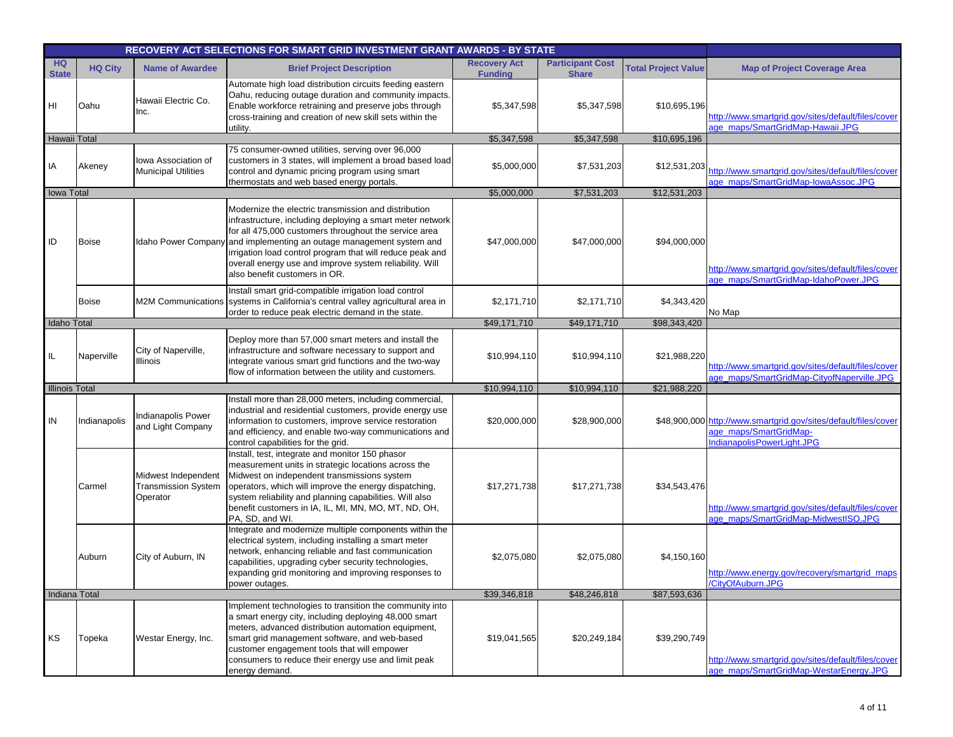|                           | RECOVERY ACT SELECTIONS FOR SMART GRID INVESTMENT GRANT AWARDS - BY STATE |                                                               |                                                                                                                                                                                                                                                                                                                                                                                                             |                                       |                                         |                            |                                                                                                                         |
|---------------------------|---------------------------------------------------------------------------|---------------------------------------------------------------|-------------------------------------------------------------------------------------------------------------------------------------------------------------------------------------------------------------------------------------------------------------------------------------------------------------------------------------------------------------------------------------------------------------|---------------------------------------|-----------------------------------------|----------------------------|-------------------------------------------------------------------------------------------------------------------------|
| <b>HQ</b><br><b>State</b> | <b>HQ City</b>                                                            | <b>Name of Awardee</b>                                        | <b>Brief Project Description</b>                                                                                                                                                                                                                                                                                                                                                                            | <b>Recovery Act</b><br><b>Funding</b> | <b>Participant Cost</b><br><b>Share</b> | <b>Total Project Value</b> | <b>Map of Project Coverage Area</b>                                                                                     |
| HI                        | Oahu                                                                      | Hawaii Electric Co.<br>Inc.                                   | Automate high load distribution circuits feeding eastern<br>Oahu, reducing outage duration and community impacts.<br>Enable workforce retraining and preserve jobs through<br>cross-training and creation of new skill sets within the<br>utility.                                                                                                                                                          | \$5,347,598                           | \$5,347,598                             | \$10,695,196               | http://www.smartgrid.gov/sites/default/files/cover<br>age maps/SmartGridMap-Hawaii.JPG                                  |
| Hawaii Total              |                                                                           |                                                               |                                                                                                                                                                                                                                                                                                                                                                                                             | \$5,347,598                           | \$5,347,598                             | \$10,695,196               |                                                                                                                         |
| IA                        | Akeney                                                                    | lowa Association of<br><b>Municipal Utilities</b>             | 75 consumer-owned utilities, serving over 96,000<br>customers in 3 states, will implement a broad based load<br>control and dynamic pricing program using smart<br>thermostats and web based energy portals.                                                                                                                                                                                                | \$5,000,000                           | \$7,531,203                             | \$12,531,203               | http://www.smartgrid.gov/sites/default/files/cover<br>age_maps/SmartGridMap-lowaAssoc.JPG                               |
| <b>Iowa Total</b>         |                                                                           |                                                               |                                                                                                                                                                                                                                                                                                                                                                                                             | \$5,000,000                           | \$7,531,203                             | \$12,531,203               |                                                                                                                         |
| ID                        | <b>Boise</b>                                                              |                                                               | Modernize the electric transmission and distribution<br>infrastructure, including deploying a smart meter network<br>for all 475,000 customers throughout the service area<br>Idaho Power Company and implementing an outage management system and<br>irrigation load control program that will reduce peak and<br>overall energy use and improve system reliability. Will<br>also benefit customers in OR. | \$47,000,000                          | \$47,000,000                            | \$94,000,000               | http://www.smartgrid.gov/sites/default/files/cover<br>age maps/SmartGridMap-IdahoPower.JPG                              |
|                           | <b>Boise</b>                                                              |                                                               | Install smart grid-compatible irrigation load control<br>M2M Communications systems in California's central valley agricultural area in<br>order to reduce peak electric demand in the state.                                                                                                                                                                                                               | \$2,171,710                           | \$2,171,710                             | \$4,343,420                | No Map                                                                                                                  |
| Idaho Total               |                                                                           |                                                               |                                                                                                                                                                                                                                                                                                                                                                                                             | \$49,171,710                          | \$49,171,710                            | \$98,343,420               |                                                                                                                         |
| IL.                       | Naperville                                                                | City of Naperville,<br>Illinois                               | Deploy more than 57,000 smart meters and install the<br>infrastructure and software necessary to support and<br>integrate various smart grid functions and the two-way<br>flow of information between the utility and customers.                                                                                                                                                                            | \$10,994,110                          | \$10,994,110                            | \$21,988,220               | http://www.smartgrid.gov/sites/default/files/cover<br>age_maps/SmartGridMap-CityofNaperville.JPG                        |
| <b>Illinois Total</b>     |                                                                           |                                                               |                                                                                                                                                                                                                                                                                                                                                                                                             | \$10,994,110                          | \$10,994,110                            | \$21,988,220               |                                                                                                                         |
| IN                        | Indianapolis                                                              | Indianapolis Power<br>and Light Company                       | Install more than 28,000 meters, including commercial,<br>industrial and residential customers, provide energy use<br>information to customers, improve service restoration<br>and efficiency, and enable two-way communications and<br>control capabilities for the grid.                                                                                                                                  | \$20,000,000                          | \$28,900,000                            |                            | \$48,900,000 http://www.smartgrid.gov/sites/default/files/cover<br>age maps/SmartGridMap-<br>IndianapolisPowerLight.JPG |
|                           | Carmel                                                                    | Midwest Independent<br><b>Transmission System</b><br>Operator | Install, test, integrate and monitor 150 phasor<br>measurement units in strategic locations across the<br>Midwest on independent transmissions system<br>operators, which will improve the energy dispatching,<br>system reliability and planning capabilities. Will also<br>benefit customers in IA, IL, MI, MN, MO, MT, ND, OH,<br>PA, SD, and WI.                                                        | \$17,271,738                          | \$17,271,738                            | \$34,543,476               | http://www.smartgrid.gov/sites/default/files/cover<br>age maps/SmartGridMap-MidwestISO.JPG                              |
|                           | Auburn                                                                    | City of Auburn, IN                                            | Integrate and modernize multiple components within the<br>electrical system, including installing a smart meter<br>network, enhancing reliable and fast communication<br>capabilities, upgrading cyber security technologies,<br>expanding grid monitoring and improving responses to<br>power outages.                                                                                                     | \$2,075,080                           | \$2,075,080                             | \$4,150,160                | http://www.energy.gov/recovery/smartgrid_maps<br><b>CityOfAuburn.JPG</b>                                                |
| Indiana Total             |                                                                           |                                                               |                                                                                                                                                                                                                                                                                                                                                                                                             | \$39,346,818                          | \$48,246,818                            | \$87,593,636               |                                                                                                                         |
| KS                        | Topeka                                                                    | Westar Energy, Inc.                                           | Implement technologies to transition the community into<br>a smart energy city, including deploying 48,000 smart<br>meters, advanced distribution automation equipment,<br>smart grid management software, and web-based<br>customer engagement tools that will empower<br>consumers to reduce their energy use and limit peak<br>energy demand.                                                            | \$19,041,565                          | \$20,249,184                            | \$39,290,749               | http://www.smartgrid.gov/sites/default/files/cover<br>age maps/SmartGridMap-WestarEnergy.JPG                            |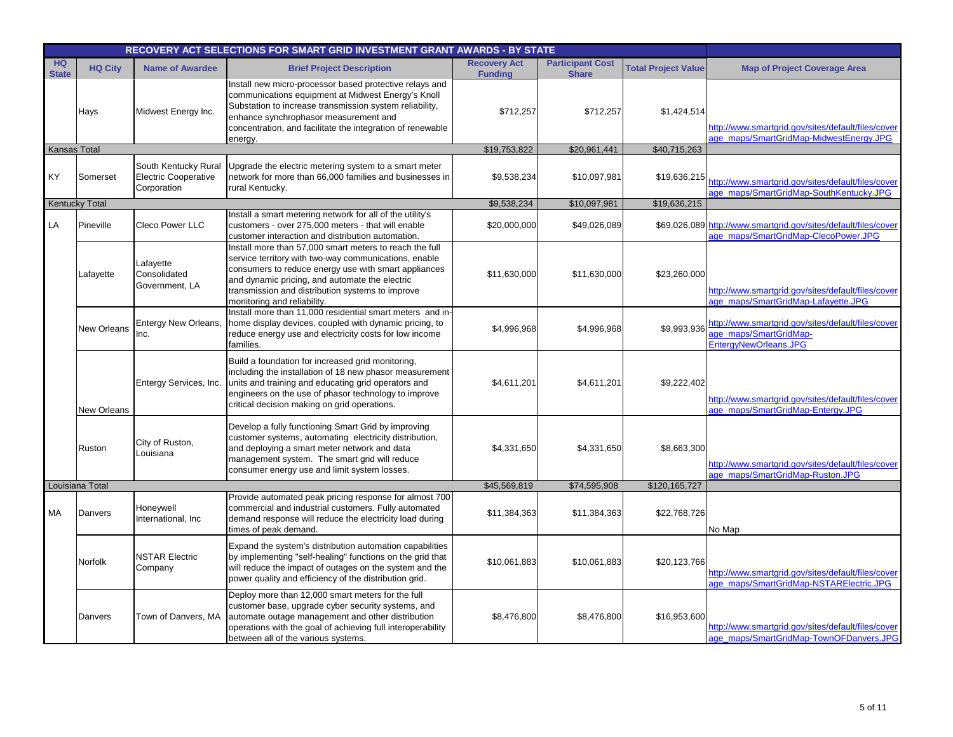|                           |                       |                                                                    | RECOVERY ACT SELECTIONS FOR SMART GRID INVESTMENT GRANT AWARDS - BY STATE                                                                                                                                                                                                                                     |                                       |                                         |                            |                                                                                                               |
|---------------------------|-----------------------|--------------------------------------------------------------------|---------------------------------------------------------------------------------------------------------------------------------------------------------------------------------------------------------------------------------------------------------------------------------------------------------------|---------------------------------------|-----------------------------------------|----------------------------|---------------------------------------------------------------------------------------------------------------|
| <b>HQ</b><br><b>State</b> | <b>HQ City</b>        | <b>Name of Awardee</b>                                             | <b>Brief Project Description</b>                                                                                                                                                                                                                                                                              | <b>Recovery Act</b><br><b>Funding</b> | <b>Participant Cost</b><br><b>Share</b> | <b>Total Project Value</b> | <b>Map of Project Coverage Area</b>                                                                           |
|                           | Hays                  | Midwest Energy Inc.                                                | Install new micro-processor based protective relays and<br>communications equipment at Midwest Energy's Knoll<br>Substation to increase transmission system reliability,<br>enhance synchrophasor measurement and<br>concentration, and facilitate the integration of renewable<br>energy.                    | \$712,257                             | \$712,257                               | \$1,424,514                | http://www.smartgrid.gov/sites/default/files/cover<br>age maps/SmartGridMap-MidwestEnergy.JPG                 |
| Kansas Total              |                       |                                                                    |                                                                                                                                                                                                                                                                                                               | \$19,753,822                          | \$20,961,441                            | \$40,715,263               |                                                                                                               |
| KY                        | Somerset              | South Kentucky Rural<br><b>Electric Cooperative</b><br>Corporation | Jpgrade the electric metering system to a smart meter<br>network for more than 66,000 families and businesses in<br>rural Kentucky.                                                                                                                                                                           | \$9,538,234                           | \$10,097,981                            |                            | \$19,636,215<br>http://www.smartgrid.gov/sites/default/files/cover<br>age maps/SmartGridMap-SouthKentucky.JPG |
|                           | <b>Kentucky Total</b> |                                                                    |                                                                                                                                                                                                                                                                                                               | \$9,538,234                           | \$10,097,981                            | \$19,636,215               |                                                                                                               |
| LA                        | Pineville             | Cleco Power LLC                                                    | Install a smart metering network for all of the utility's<br>customers - over 275,000 meters - that will enable<br>customer interaction and distribution automation.                                                                                                                                          | \$20,000,000                          | \$49,026,089                            |                            | \$69,026,089 http://www.smartgrid.gov/sites/default/files/cover<br>age maps/SmartGridMap-ClecoPower.JPG       |
|                           | Lafayette             | Lafayette<br>Consolidated<br>Government, LA                        | Install more than 57,000 smart meters to reach the full<br>service territory with two-way communications, enable<br>consumers to reduce energy use with smart appliances<br>and dynamic pricing, and automate the electric<br>transmission and distribution systems to improve<br>monitoring and reliability. | \$11,630,000                          | \$11,630,000                            | \$23,260,000               | http://www.smartgrid.gov/sites/default/files/cover<br>age maps/SmartGridMap-Lafayette.JPG                     |
|                           | <b>New Orleans</b>    | Entergy New Orleans,<br>Inc.                                       | Install more than 11,000 residential smart meters and in-<br>home display devices, coupled with dynamic pricing, to<br>reduce energy use and electricity costs for low income<br>families.                                                                                                                    | \$4,996,968                           | \$4,996,968                             | \$9,993,936                | http://www.smartgrid.gov/sites/default/files/cover<br>age maps/SmartGridMap-<br>EntergyNewOrleans.JPG         |
|                           | <b>New Orleans</b>    | Entergy Services, Inc.                                             | Build a foundation for increased grid monitoring,<br>including the installation of 18 new phasor measurement<br>units and training and educating grid operators and<br>engineers on the use of phasor technology to improve<br>critical decision making on grid operations.                                   | \$4,611,201                           | \$4,611,201                             | \$9,222,402                | http://www.smartgrid.gov/sites/default/files/cover<br>age_maps/SmartGridMap-Entergy.JPG                       |
|                           | Ruston                | City of Ruston,<br>Louisiana                                       | Develop a fully functioning Smart Grid by improving<br>customer systems, automating electricity distribution,<br>and deploying a smart meter network and data<br>management system. The smart grid will reduce<br>consumer energy use and limit system losses.                                                | \$4,331,650                           | \$4,331,650                             | \$8,663,300                | http://www.smartgrid.gov/sites/default/files/cover<br>age maps/SmartGridMap-Ruston.JPG                        |
|                           | Louisiana Total       |                                                                    |                                                                                                                                                                                                                                                                                                               | \$45,569,819                          | \$74,595,908                            | \$120,165,727              |                                                                                                               |
| МA                        | Danvers               | Honeywell<br>International, Inc                                    | Provide automated peak pricing response for almost 700<br>commercial and industrial customers. Fully automated<br>demand response will reduce the electricity load during<br>times of peak demand.                                                                                                            | \$11,384,363                          | \$11,384,363                            | \$22,768,726               | No Map                                                                                                        |
|                           | Norfolk               | <b>NSTAR Electric</b><br>Company                                   | Expand the system's distribution automation capabilities<br>by implementing "self-healing" functions on the grid that<br>will reduce the impact of outages on the system and the<br>power quality and efficiency of the distribution grid.                                                                    | \$10,061,883                          | \$10,061,883                            | \$20,123,766               | http://www.smartgrid.gov/sites/default/files/cover<br>age maps/SmartGridMap-NSTARElectric.JPG                 |
|                           | Danvers               | Town of Danvers, MA                                                | Deploy more than 12,000 smart meters for the full<br>customer base, upgrade cyber security systems, and<br>automate outage management and other distribution<br>operations with the goal of achieving full interoperability<br>between all of the various systems.                                            | \$8,476,800                           | \$8,476,800                             | \$16,953,600               | http://www.smartgrid.gov/sites/default/files/cover<br>age maps/SmartGridMap-TownOFDanvers.JPG                 |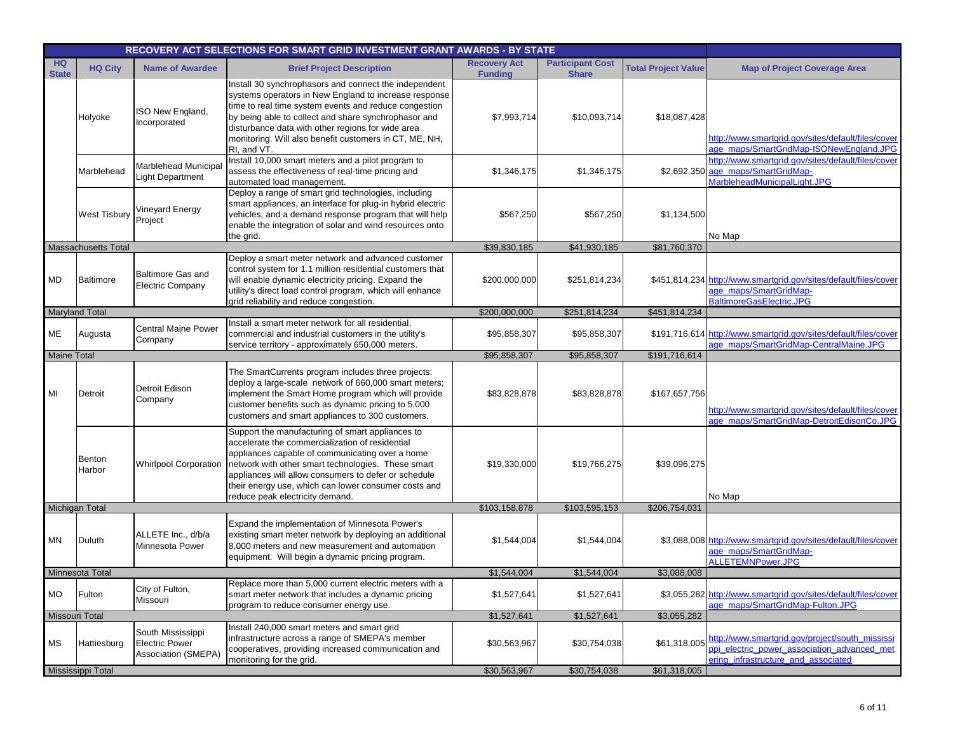|                           |                         | RECOVERY ACT SELECTIONS FOR SMART GRID INVESTMENT GRANT AWARDS - BY STATE |                                                                                                                                                                                                                                                                                                                                                                 |                                       |                                         |                            |                                                                                                                                       |
|---------------------------|-------------------------|---------------------------------------------------------------------------|-----------------------------------------------------------------------------------------------------------------------------------------------------------------------------------------------------------------------------------------------------------------------------------------------------------------------------------------------------------------|---------------------------------------|-----------------------------------------|----------------------------|---------------------------------------------------------------------------------------------------------------------------------------|
| <b>HQ</b><br><b>State</b> | <b>HQ City</b>          | <b>Name of Awardee</b>                                                    | <b>Brief Project Description</b>                                                                                                                                                                                                                                                                                                                                | <b>Recovery Act</b><br><b>Funding</b> | <b>Participant Cost</b><br><b>Share</b> | <b>Total Project Value</b> | <b>Map of Project Coverage Area</b>                                                                                                   |
|                           | Holyoke                 | ISO New England,<br>Incorporated                                          | Install 30 synchrophasors and connect the independent<br>systems operators in New England to increase response<br>time to real time system events and reduce congestion<br>by being able to collect and share synchrophasor and<br>disturbance data with other regions for wide area<br>monitoring. Will also benefit customers in CT, ME, NH,<br>RI, and VT.   | \$7,993,714                           | \$10,093,714                            | \$18,087,428               | http://www.smartgrid.gov/sites/default/files/cover<br>age maps/SmartGridMap-ISONewEngland.JPG                                         |
|                           | Marblehead              | Marblehead Municipal<br>Light Department                                  | Install 10,000 smart meters and a pilot program to<br>assess the effectiveness of real-time pricing and<br>automated load management.                                                                                                                                                                                                                           | \$1,346,175                           | \$1,346,175                             |                            | http://www.smartgrid.gov/sites/default/files/cover<br>\$2,692,350 age_maps/SmartGridMap-<br>MarbleheadMunicipalLight.JPG              |
|                           | <b>West Tisbury</b>     | Vineyard Energy<br>Project                                                | Deploy a range of smart grid technologies, including<br>smart appliances, an interface for plug-in hybrid electric<br>vehicles, and a demand response program that will help<br>enable the integration of solar and wind resources onto<br>the grid.                                                                                                            | \$567,250                             | \$567,250                               | \$1,134,500                | No Map                                                                                                                                |
|                           | Massachusetts Total     |                                                                           |                                                                                                                                                                                                                                                                                                                                                                 | \$39,830,185                          | \$41,930,185                            | \$81,760,370               |                                                                                                                                       |
| MD                        | <b>Baltimore</b>        | Baltimore Gas and<br><b>Electric Company</b>                              | Deploy a smart meter network and advanced customer<br>control system for 1.1 million residential customers that<br>will enable dynamic electricity pricing. Expand the<br>utility's direct load control program, which will enhance<br>grid reliability and reduce congestion.                                                                                  | \$200,000,000                         | \$251,814,234                           |                            | \$451,814,234 http://www.smartgrid.gov/sites/default/files/cover<br>age maps/SmartGridMap-<br>BaltimoreGasElectric.JPG                |
|                           | <b>Maryland Total</b>   |                                                                           |                                                                                                                                                                                                                                                                                                                                                                 | \$200,000,000                         | \$251,814,234                           | \$451,814,234              |                                                                                                                                       |
| ME                        | Augusta                 | <b>Central Maine Power</b><br>Company                                     | Install a smart meter network for all residential,<br>commercial and industrial customers in the utility's<br>service territory - approximately 650,000 meters.                                                                                                                                                                                                 | \$95,858,307                          | \$95,858,307                            |                            | \$191,716,614 http://www.smartgrid.gov/sites/default/files/cover<br>age_maps/SmartGridMap-CentralMaine.JPG                            |
| <b>Maine Total</b>        |                         |                                                                           |                                                                                                                                                                                                                                                                                                                                                                 | \$95,858,307                          | \$95,858,307                            | \$191,716,614              |                                                                                                                                       |
| MI                        | Detroit                 | Detroit Edison<br>Company                                                 | The SmartCurrents program includes three projects:<br>deploy a large-scale network of 660,000 smart meters;<br>implement the Smart Home program which will provide<br>customer benefits such as dynamic pricing to 5,000<br>customers and smart appliances to 300 customers.                                                                                    | \$83,828,878                          | \$83,828,878                            | \$167,657,756              | http://www.smartgrid.gov/sites/default/files/cover<br>age_maps/SmartGridMap-DetroitEdisonCo.JPG                                       |
|                           | <b>Benton</b><br>Harbor | <b>Whirlpool Corporation</b>                                              | Support the manufacturing of smart appliances to<br>accelerate the commercialization of residential<br>appliances capable of communicating over a home<br>network with other smart technologies. These smart<br>appliances will allow consumers to defer or schedule<br>their energy use, which can lower consumer costs and<br>reduce peak electricity demand. | \$19,330,000                          | \$19,766,275                            | \$39,096,275               | No Map                                                                                                                                |
|                           | Michigan Total          |                                                                           |                                                                                                                                                                                                                                                                                                                                                                 | \$103,158,878                         | \$103,595,153                           | \$206,754,031              |                                                                                                                                       |
| MN                        | Duluth                  | ALLETE Inc., d/b/a<br>Minnesota Power                                     | Expand the implementation of Minnesota Power's<br>existing smart meter network by deploying an additional<br>8,000 meters and new measurement and automation<br>equipment. Will begin a dynamic pricing program.                                                                                                                                                | \$1,544,004                           | \$1,544,004                             |                            | \$3,088,008 http://www.smartgrid.gov/sites/default/files/cover<br>age_maps/SmartGridMap-<br>ALLETEMNPower.JPG                         |
|                           | Minnesota Total         |                                                                           |                                                                                                                                                                                                                                                                                                                                                                 | \$1,544,004                           | \$1,544,004                             | \$3,088,008                |                                                                                                                                       |
| <b>MO</b>                 | Fulton                  | City of Fulton,<br>Missouri                                               | Replace more than 5,000 current electric meters with a<br>smart meter network that includes a dynamic pricing<br>program to reduce consumer energy use.                                                                                                                                                                                                         | \$1,527,641                           | \$1,527,641                             |                            | \$3,055,282 http://www.smartgrid.gov/sites/default/files/cover<br>age_maps/SmartGridMap-Fulton.JPG                                    |
| Missouri Total            |                         |                                                                           |                                                                                                                                                                                                                                                                                                                                                                 | \$1,527,641                           | \$1,527,641                             | \$3,055,282                |                                                                                                                                       |
| <b>MS</b>                 | Hattiesburg             | South Mississippi<br><b>Electric Power</b><br>Association (SMEPA)         | Install 240,000 smart meters and smart grid<br>infrastructure across a range of SMEPA's member<br>cooperatives, providing increased communication and<br>monitoring for the grid.                                                                                                                                                                               | \$30,563,967                          | \$30,754,038                            | \$61,318,005               | http://www.smartgrid.gov/project/south_mississi<br>ppi electric power association advanced met<br>ering infrastructure and associated |
|                           | Mississippi Total       |                                                                           |                                                                                                                                                                                                                                                                                                                                                                 | \$30,563,967                          | \$30,754,038                            | \$61,318,005               |                                                                                                                                       |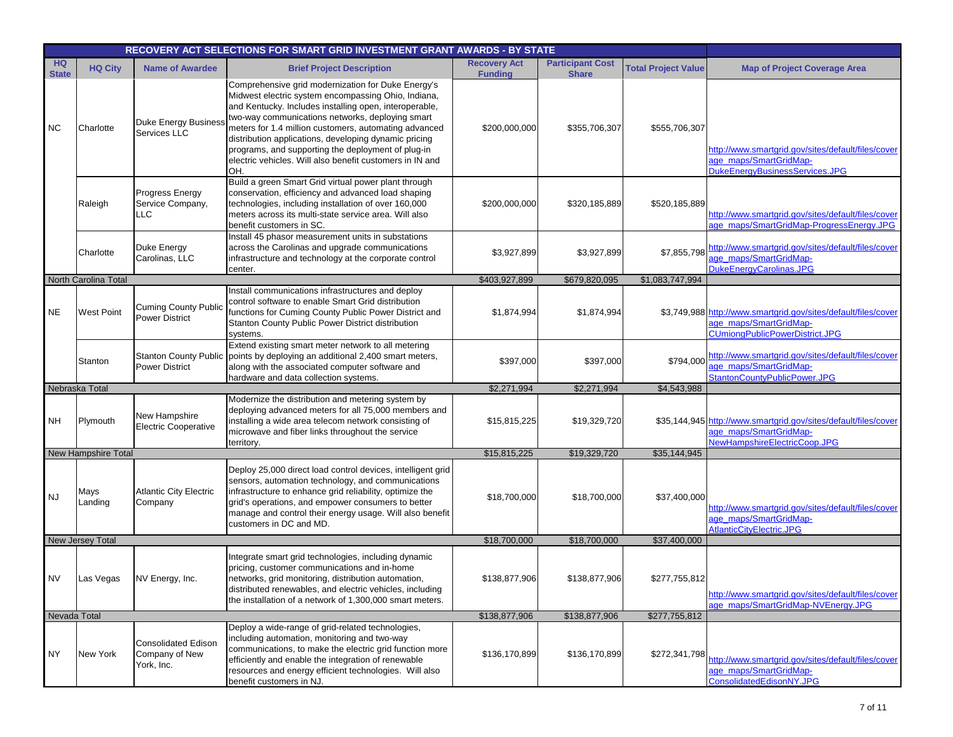|                           |                         | RECOVERY ACT SELECTIONS FOR SMART GRID INVESTMENT GRANT AWARDS - BY STATE |                                                                                                                                                                                                                                                                                                                                                                                                                                                                    |                                       |                                         |                            |                                                                                                                                   |
|---------------------------|-------------------------|---------------------------------------------------------------------------|--------------------------------------------------------------------------------------------------------------------------------------------------------------------------------------------------------------------------------------------------------------------------------------------------------------------------------------------------------------------------------------------------------------------------------------------------------------------|---------------------------------------|-----------------------------------------|----------------------------|-----------------------------------------------------------------------------------------------------------------------------------|
| <b>HQ</b><br><b>State</b> | <b>HQ City</b>          | <b>Name of Awardee</b>                                                    | <b>Brief Project Description</b>                                                                                                                                                                                                                                                                                                                                                                                                                                   | <b>Recovery Act</b><br><b>Funding</b> | <b>Participant Cost</b><br><b>Share</b> | <b>Total Project Value</b> | <b>Map of Project Coverage Area</b>                                                                                               |
| <b>NC</b>                 | Charlotte               | <b>Duke Energy Business</b><br><b>Services LLC</b>                        | Comprehensive grid modernization for Duke Energy's<br>Midwest electric system encompassing Ohio, Indiana,<br>and Kentucky. Includes installing open, interoperable,<br>two-way communications networks, deploying smart<br>meters for 1.4 million customers, automating advanced<br>distribution applications, developing dynamic pricing<br>programs, and supporting the deployment of plug-in<br>electric vehicles. Will also benefit customers in IN and<br>OH. | \$200,000,000                         | \$355,706,307                           | \$555,706,307              | http://www.smartgrid.gov/sites/default/files/cover<br>age_maps/SmartGridMap-<br>DukeEnergyBusinessServices.JPG                    |
|                           | Raleigh                 | <b>Progress Energy</b><br>Service Company,<br><b>LLC</b>                  | Build a green Smart Grid virtual power plant through<br>conservation, efficiency and advanced load shaping<br>technologies, including installation of over 160,000<br>meters across its multi-state service area. Will also<br>benefit customers in SC.                                                                                                                                                                                                            | \$200,000,000                         | \$320,185,889                           | \$520,185,889              | http://www.smartgrid.gov/sites/default/files/cover<br>age_maps/SmartGridMap-ProgressEnergy.JPG                                    |
|                           | Charlotte               | Duke Energy<br>Carolinas, LLC                                             | Install 45 phasor measurement units in substations<br>across the Carolinas and upgrade communications<br>infrastructure and technology at the corporate control<br>center.                                                                                                                                                                                                                                                                                         | \$3,927,899                           | \$3,927,899                             | \$7,855,798                | http://www.smartgrid.gov/sites/default/files/cover<br>age maps/SmartGridMap-<br>DukeEnergyCarolinas.JPG                           |
|                           | North Carolina Total    |                                                                           |                                                                                                                                                                                                                                                                                                                                                                                                                                                                    | \$403,927,899                         | \$679,820,095                           | \$1,083,747,994            |                                                                                                                                   |
| <b>NE</b>                 | <b>West Point</b>       | <b>Cuming County Public</b><br><b>Power District</b>                      | Install communications infrastructures and deploy<br>control software to enable Smart Grid distribution<br>functions for Cuming County Public Power District and<br>Stanton County Public Power District distribution<br>systems.                                                                                                                                                                                                                                  | \$1,874,994                           | \$1,874,994                             |                            | \$3,749,988 http://www.smartgrid.gov/sites/default/files/cover<br>age maps/SmartGridMap-<br><b>CUmiongPublicPowerDistrict.JPG</b> |
|                           | Stanton                 | <b>Stanton County Public</b><br><b>Power District</b>                     | Extend existing smart meter network to all metering<br>points by deploying an additional 2,400 smart meters,<br>along with the associated computer software and<br>hardware and data collection systems.                                                                                                                                                                                                                                                           | \$397,000                             | \$397,000                               | \$794,000                  | http://www.smartgrid.gov/sites/default/files/cover<br>age_maps/SmartGridMap-<br>StantonCountyPublicPower.JPG                      |
|                           | Nebraska Total          |                                                                           |                                                                                                                                                                                                                                                                                                                                                                                                                                                                    | \$2,271,994                           | \$2,271,994                             | \$4,543,988                |                                                                                                                                   |
| NH                        | Plymouth                | New Hampshire<br><b>Electric Cooperative</b>                              | Modernize the distribution and metering system by<br>deploying advanced meters for all 75,000 members and<br>installing a wide area telecom network consisting of<br>microwave and fiber links throughout the service<br>territory.                                                                                                                                                                                                                                | \$15,815,225                          | \$19,329,720                            |                            | \$35,144,945 http://www.smartgrid.gov/sites/default/files/cover<br>age maps/SmartGridMap-<br>NewHampshireElectricCoop.JPG         |
|                           | New Hampshire Total     |                                                                           |                                                                                                                                                                                                                                                                                                                                                                                                                                                                    | \$15,815,225                          | \$19,329,720                            | \$35,144,945               |                                                                                                                                   |
| <b>NJ</b>                 | Mays<br>Landing         | <b>Atlantic City Electric</b><br>Company                                  | Deploy 25,000 direct load control devices, intelligent grid<br>sensors, automation technology, and communications<br>infrastructure to enhance grid reliability, optimize the<br>grid's operations, and empower consumers to better<br>manage and control their energy usage. Will also benefit<br>customers in DC and MD.                                                                                                                                         | \$18,700,000                          | \$18,700,000                            | \$37,400,000               | http://www.smartgrid.gov/sites/default/files/cover<br>age_maps/SmartGridMap-<br>AtlanticCityElectric.JPG                          |
|                           | <b>New Jersey Total</b> |                                                                           |                                                                                                                                                                                                                                                                                                                                                                                                                                                                    | \$18,700,000                          | \$18,700,000                            | \$37,400,000               |                                                                                                                                   |
| <b>NV</b>                 | Las Vegas               | NV Energy, Inc.                                                           | Integrate smart grid technologies, including dynamic<br>pricing, customer communications and in-home<br>networks, grid monitoring, distribution automation,<br>distributed renewables, and electric vehicles, including<br>the installation of a network of 1,300,000 smart meters.                                                                                                                                                                                | \$138,877,906                         | \$138,877,906                           | \$277,755,812              | http://www.smartgrid.gov/sites/default/files/cover<br>age_maps/SmartGridMap-NVEnergy.JPG                                          |
| Nevada Total              |                         |                                                                           |                                                                                                                                                                                                                                                                                                                                                                                                                                                                    | \$138,877,906                         | \$138,877,906                           | \$277,755,812              |                                                                                                                                   |
| NY.                       | New York                | <b>Consolidated Edison</b><br>Company of New<br>York, Inc.                | Deploy a wide-range of grid-related technologies,<br>including automation, monitoring and two-way<br>communications, to make the electric grid function more<br>efficiently and enable the integration of renewable<br>resources and energy efficient technologies. Will also<br>benefit customers in NJ.                                                                                                                                                          | \$136,170,899                         | \$136,170,899                           | \$272,341,798              | http://www.smartgrid.gov/sites/default/files/cover<br>age maps/SmartGridMap-<br>ConsolidatedEdisonNY.JPG                          |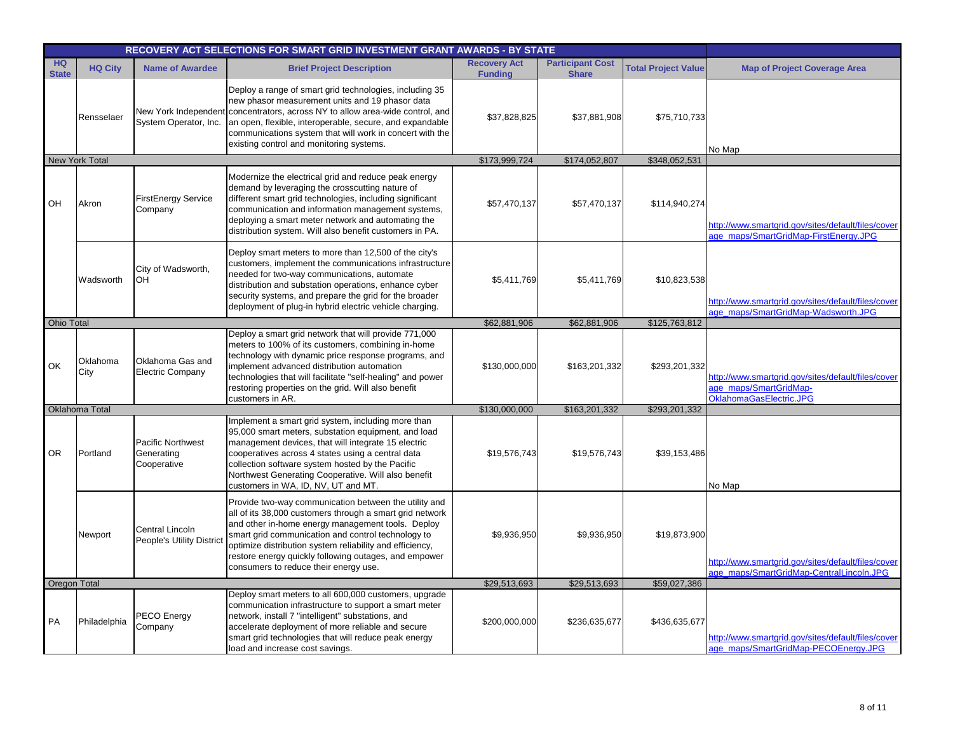|                           |                  |                                                       | RECOVERY ACT SELECTIONS FOR SMART GRID INVESTMENT GRANT AWARDS - BY STATE                                                                                                                                                                                                                                                                                                                  |                                       |                                         |                            |                                                                                                         |
|---------------------------|------------------|-------------------------------------------------------|--------------------------------------------------------------------------------------------------------------------------------------------------------------------------------------------------------------------------------------------------------------------------------------------------------------------------------------------------------------------------------------------|---------------------------------------|-----------------------------------------|----------------------------|---------------------------------------------------------------------------------------------------------|
| <b>HQ</b><br><b>State</b> | <b>HQ City</b>   | <b>Name of Awardee</b>                                | <b>Brief Project Description</b>                                                                                                                                                                                                                                                                                                                                                           | <b>Recovery Act</b><br><b>Funding</b> | <b>Participant Cost</b><br><b>Share</b> | <b>Total Project Value</b> | <b>Map of Project Coverage Area</b>                                                                     |
|                           | Rensselaer       | System Operator, Inc.                                 | Deploy a range of smart grid technologies, including 35<br>new phasor measurement units and 19 phasor data<br>New York Independent concentrators, across NY to allow area-wide control, and<br>an open, flexible, interoperable, secure, and expandable<br>communications system that will work in concert with the<br>existing control and monitoring systems.                            | \$37,828,825                          | \$37,881,908                            | \$75,710,733               | No Map                                                                                                  |
|                           | New York Total   |                                                       |                                                                                                                                                                                                                                                                                                                                                                                            | \$173,999,724                         | \$174,052,807                           | \$348,052,531              |                                                                                                         |
| OH                        | Akron            | <b>FirstEnergy Service</b><br>Company                 | Modernize the electrical grid and reduce peak energy<br>demand by leveraging the crosscutting nature of<br>different smart grid technologies, including significant<br>communication and information management systems,<br>deploying a smart meter network and automating the<br>distribution system. Will also benefit customers in PA.                                                  | \$57,470,137                          | \$57,470,137                            | \$114,940,274              | http://www.smartgrid.gov/sites/default/files/cover<br>age maps/SmartGridMap-FirstEnergy.JPG             |
|                           | Wadsworth        | City of Wadsworth,<br>OH                              | Deploy smart meters to more than 12,500 of the city's<br>customers, implement the communications infrastructure<br>needed for two-way communications, automate<br>distribution and substation operations, enhance cyber<br>security systems, and prepare the grid for the broader<br>deployment of plug-in hybrid electric vehicle charging.                                               | \$5,411,769                           | \$5,411,769                             | \$10,823,538               | http://www.smartgrid.gov/sites/default/files/cover<br>age maps/SmartGridMap-Wadsworth.JPG               |
| Ohio Total                |                  |                                                       |                                                                                                                                                                                                                                                                                                                                                                                            | \$62,881,906                          | \$62,881,906                            | \$125,763,812              |                                                                                                         |
| OK                        | Oklahoma<br>City | Oklahoma Gas and<br><b>Electric Company</b>           | Deploy a smart grid network that will provide 771,000<br>meters to 100% of its customers, combining in-home<br>technology with dynamic price response programs, and<br>implement advanced distribution automation<br>technologies that will facilitate "self-healing" and power<br>restoring properties on the grid. Will also benefit<br>customers in AR.                                 | \$130,000,000                         | \$163,201,332                           | \$293,201,332              | http://www.smartgrid.gov/sites/default/files/cover<br>age maps/SmartGridMap-<br>OklahomaGasElectric.JPG |
|                           | Oklahoma Total   |                                                       |                                                                                                                                                                                                                                                                                                                                                                                            | \$130,000,000                         | \$163,201,332                           | \$293,201,332              |                                                                                                         |
| <b>OR</b>                 | Portland         | <b>Pacific Northwest</b><br>Generating<br>Cooperative | Implement a smart grid system, including more than<br>95,000 smart meters, substation equipment, and load<br>management devices, that will integrate 15 electric<br>cooperatives across 4 states using a central data<br>collection software system hosted by the Pacific<br>Northwest Generating Cooperative. Will also benefit<br>customers in WA, ID, NV, UT and MT.                    | \$19,576,743                          | \$19,576,743                            | \$39,153,486               | No Map                                                                                                  |
|                           | Newport          | Central Lincoln<br>People's Utility Distric           | Provide two-way communication between the utility and<br>all of its 38,000 customers through a smart grid network<br>and other in-home energy management tools. Deploy<br>smart grid communication and control technology to<br>optimize distribution system reliability and efficiency,<br>restore energy quickly following outages, and empower<br>consumers to reduce their energy use. | \$9,936,950                           | \$9,936,950                             | \$19,873,900               | http://www.smartgrid.gov/sites/default/files/cover<br>age maps/SmartGridMap-CentralLincoln.JPG          |
| <b>Oregon Total</b>       |                  |                                                       |                                                                                                                                                                                                                                                                                                                                                                                            | \$29,513,693                          | \$29,513,693                            | \$59,027,386               |                                                                                                         |
| PA                        | Philadelphia     | PECO Energy<br>Company                                | Deploy smart meters to all 600,000 customers, upgrade<br>communication infrastructure to support a smart meter<br>network, install 7 "intelligent" substations, and<br>accelerate deployment of more reliable and secure<br>smart grid technologies that will reduce peak energy<br>load and increase cost savings.                                                                        | \$200,000,000                         | \$236,635,677                           | \$436,635,677              | http://www.smartgrid.gov/sites/default/files/cover<br>age_maps/SmartGridMap-PECOEnergy.JPG              |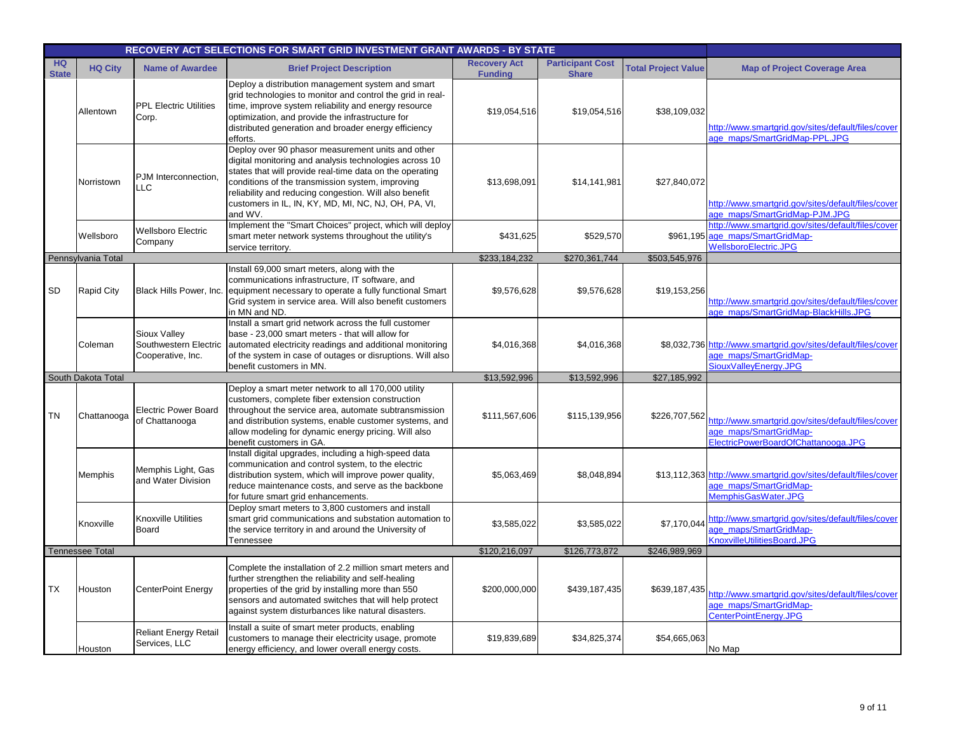|                           |                        |                                                            | RECOVERY ACT SELECTIONS FOR SMART GRID INVESTMENT GRANT AWARDS - BY STATE                                                                                                                                                                                                                                                                                |                                       |                                         |                            |                                                                                                                     |
|---------------------------|------------------------|------------------------------------------------------------|----------------------------------------------------------------------------------------------------------------------------------------------------------------------------------------------------------------------------------------------------------------------------------------------------------------------------------------------------------|---------------------------------------|-----------------------------------------|----------------------------|---------------------------------------------------------------------------------------------------------------------|
| <b>HQ</b><br><b>State</b> | <b>HQ City</b>         | <b>Name of Awardee</b>                                     | <b>Brief Project Description</b>                                                                                                                                                                                                                                                                                                                         | <b>Recovery Act</b><br><b>Funding</b> | <b>Participant Cost</b><br><b>Share</b> | <b>Total Project Value</b> | <b>Map of Project Coverage Area</b>                                                                                 |
|                           | Allentown              | <b>PPL Electric Utilities</b><br>Corp.                     | Deploy a distribution management system and smart<br>grid technologies to monitor and control the grid in real-<br>time, improve system reliability and energy resource<br>optimization, and provide the infrastructure for<br>distributed generation and broader energy efficiency<br>efforts.                                                          | \$19,054,516                          | \$19,054,516                            | \$38,109,032               | http://www.smartgrid.gov/sites/default/files/cover<br>age maps/SmartGridMap-PPL.JPG                                 |
|                           | Norristown             | PJM Interconnection,<br><b>LLC</b>                         | Deploy over 90 phasor measurement units and other<br>digital monitoring and analysis technologies across 10<br>states that will provide real-time data on the operating<br>conditions of the transmission system, improving<br>reliability and reducing congestion. Will also benefit<br>customers in IL, IN, KY, MD, MI, NC, NJ, OH, PA, VI,<br>and WV. | \$13,698,091                          | \$14,141,981                            | \$27,840,072               | http://www.smartgrid.gov/sites/default/files/cover<br>age maps/SmartGridMap-PJM.JPG                                 |
|                           | Wellsboro              | <b>Wellsboro Electric</b><br>Company                       | Implement the "Smart Choices" project, which will deploy<br>smart meter network systems throughout the utility's<br>service territory.                                                                                                                                                                                                                   | \$431,625                             | \$529,570                               |                            | http://www.smartgrid.gov/sites/default/files/cover<br>\$961,195 age_maps/SmartGridMap-<br>WellsboroElectric.JPG     |
|                           | Pennsylvania Total     |                                                            |                                                                                                                                                                                                                                                                                                                                                          | \$233,184,232                         | \$270,361,744                           | \$503,545,976              |                                                                                                                     |
| SD                        | <b>Rapid City</b>      | Black Hills Power, Inc.                                    | Install 69,000 smart meters, along with the<br>communications infrastructure, IT software, and<br>equipment necessary to operate a fully functional Smart<br>Grid system in service area. Will also benefit customers<br>in MN and ND.                                                                                                                   | \$9,576,628                           | \$9,576,628                             | \$19,153,256               | http://www.smartgrid.gov/sites/default/files/cover<br>age maps/SmartGridMap-BlackHills.JPG                          |
|                           | Coleman                | Sioux Valley<br>Southwestern Electric<br>Cooperative, Inc. | Install a smart grid network across the full customer<br>base - 23,000 smart meters - that will allow for<br>automated electricity readings and additional monitoring<br>of the system in case of outages or disruptions. Will also<br>benefit customers in MN.                                                                                          | \$4,016,368                           | \$4,016,368                             |                            | \$8,032,736 http://www.smartgrid.gov/sites/default/files/cover<br>age maps/SmartGridMap-<br>SiouxValleyEnergy.JPG   |
|                           | South Dakota Total     |                                                            |                                                                                                                                                                                                                                                                                                                                                          | \$13,592,996                          | \$13,592,996                            | \$27,185,992               |                                                                                                                     |
| <b>TN</b>                 | Chattanooga            | <b>Electric Power Board</b><br>of Chattanooga              | Deploy a smart meter network to all 170,000 utility<br>customers, complete fiber extension construction<br>throughout the service area, automate subtransmission<br>and distribution systems, enable customer systems, and<br>allow modeling for dynamic energy pricing. Will also<br>benefit customers in GA.                                           | \$111,567,606                         | \$115,139,956                           | \$226,707,562              | http://www.smartgrid.gov/sites/default/files/cover<br>age maps/SmartGridMap-<br>ElectricPowerBoardOfChattanooga.JPG |
|                           | Memphis                | Memphis Light, Gas<br>and Water Division                   | Install digital upgrades, including a high-speed data<br>communication and control system, to the electric<br>distribution system, which will improve power quality,<br>reduce maintenance costs, and serve as the backbone<br>for future smart grid enhancements.                                                                                       | \$5,063,469                           | \$8,048,894                             |                            | \$13,112,363 http://www.smartgrid.gov/sites/default/files/cover<br>age maps/SmartGridMap-<br>MemphisGasWater.JPG    |
|                           | Knoxville              | <b>Knoxville Utilities</b><br><b>Board</b>                 | Deploy smart meters to 3,800 customers and install<br>smart grid communications and substation automation to<br>the service territory in and around the University of<br>Tennessee                                                                                                                                                                       | \$3,585,022                           | \$3,585,022                             | \$7,170,044                | http://www.smartgrid.gov/sites/default/files/cover<br>ge_maps/SmartGridMap-<br>KnoxvilleUtilitiesBoard.JPG          |
|                           | <b>Tennessee Total</b> |                                                            |                                                                                                                                                                                                                                                                                                                                                          | \$120,216,097                         | \$126,773,872                           | \$246,989,969              |                                                                                                                     |
| ТX                        | Houston                | <b>CenterPoint Energy</b>                                  | Complete the installation of 2.2 million smart meters and<br>further strengthen the reliability and self-healing<br>properties of the grid by installing more than 550<br>sensors and automated switches that will help protect<br>against system disturbances like natural disasters.                                                                   | \$200,000,000                         | \$439,187,435                           | \$639,187,435              | http://www.smartgrid.gov/sites/default/files/cover<br>age maps/SmartGridMap-<br>CenterPointEnergy.JPG               |
|                           | Houston                | <b>Reliant Energy Retail</b><br>Services, LLC              | Install a suite of smart meter products, enabling<br>customers to manage their electricity usage, promote<br>energy efficiency, and lower overall energy costs.                                                                                                                                                                                          | \$19,839,689                          | \$34,825,374                            | \$54,665,063               | No Map                                                                                                              |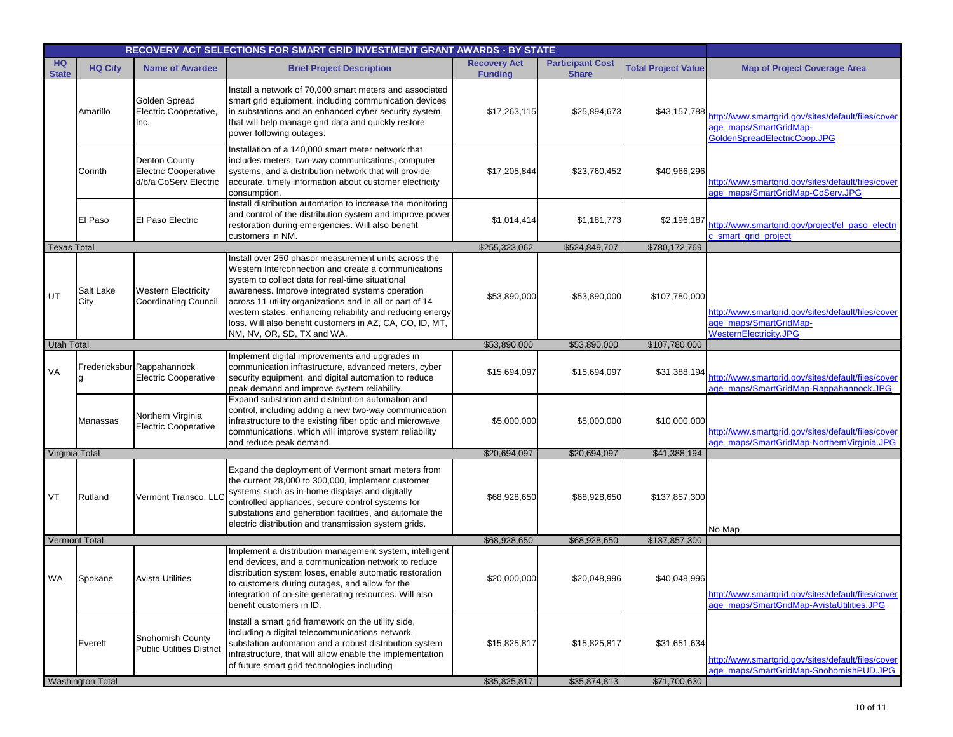|                    |                         |                                                                       | RECOVERY ACT SELECTIONS FOR SMART GRID INVESTMENT GRANT AWARDS - BY STATE                                                                                                                                                                                                                                                                                                                               |                                       |                                         |                            |                                                                                                              |
|--------------------|-------------------------|-----------------------------------------------------------------------|---------------------------------------------------------------------------------------------------------------------------------------------------------------------------------------------------------------------------------------------------------------------------------------------------------------------------------------------------------------------------------------------------------|---------------------------------------|-----------------------------------------|----------------------------|--------------------------------------------------------------------------------------------------------------|
| HQ<br><b>State</b> | <b>HQ City</b>          | <b>Name of Awardee</b>                                                | <b>Brief Project Description</b>                                                                                                                                                                                                                                                                                                                                                                        | <b>Recovery Act</b><br><b>Funding</b> | <b>Participant Cost</b><br><b>Share</b> | <b>Total Project Value</b> | <b>Map of Project Coverage Area</b>                                                                          |
|                    | Amarillo                | Golden Spread<br>Electric Cooperative,<br>Inc.                        | Install a network of 70,000 smart meters and associated<br>smart grid equipment, including communication devices<br>in substations and an enhanced cyber security system,<br>that will help manage grid data and quickly restore<br>power following outages.                                                                                                                                            | \$17,263,115                          | \$25,894,673                            | \$43,157,788               | http://www.smartgrid.gov/sites/default/files/cover<br>age maps/SmartGridMap-<br>GoldenSpreadElectricCoop.JPG |
|                    | Corinth                 | <b>Denton County</b><br>Electric Cooperative<br>d/b/a CoServ Electric | Installation of a 140,000 smart meter network that<br>includes meters, two-way communications, computer<br>systems, and a distribution network that will provide<br>accurate, timely information about customer electricity<br>consumption.                                                                                                                                                             | \$17,205,844                          | \$23,760,452                            | \$40,966,296               | http://www.smartgrid.gov/sites/default/files/cover<br>age_maps/SmartGridMap-CoServ.JPG                       |
|                    | El Paso                 | El Paso Electric                                                      | Install distribution automation to increase the monitoring<br>and control of the distribution system and improve power<br>restoration during emergencies. Will also benefit<br>customers in NM.                                                                                                                                                                                                         | \$1,014,414                           | \$1,181,773                             | \$2,196,187                | http://www.smartgrid.gov/project/el_paso_electri<br>c_smart_grid_project                                     |
| <b>Texas Total</b> |                         |                                                                       |                                                                                                                                                                                                                                                                                                                                                                                                         | \$255,323,062                         | \$524,849,707                           | \$780,172,769              |                                                                                                              |
| UT                 | Salt Lake<br>City       | <b>Western Electricity</b><br><b>Coordinating Council</b>             | Install over 250 phasor measurement units across the<br>Western Interconnection and create a communications<br>system to collect data for real-time situational<br>awareness. Improve integrated systems operation<br>across 11 utility organizations and in all or part of 14<br>western states, enhancing reliability and reducing energy<br>loss. Will also benefit customers in AZ, CA, CO, ID, MT, | \$53,890,000                          | \$53,890,000                            | \$107,780,000              | http://www.smartgrid.gov/sites/default/files/cover<br>age maps/SmartGridMap-<br>WesternElectricity.JPG       |
| <b>Utah Total</b>  |                         |                                                                       | NM, NV, OR, SD, TX and WA.                                                                                                                                                                                                                                                                                                                                                                              | \$53,890,000                          | \$53,890,000                            | \$107,780,000              |                                                                                                              |
| VA                 |                         | Fredericksbur Rappahannock<br><b>Electric Cooperative</b>             | Implement digital improvements and upgrades in<br>communication infrastructure, advanced meters, cyber<br>security equipment, and digital automation to reduce<br>peak demand and improve system reliability.                                                                                                                                                                                           | \$15,694,097                          | \$15,694,097                            | \$31,388,194               | http://www.smartgrid.gov/sites/default/files/cover<br>age_maps/SmartGridMap-Rappahannock.JPG                 |
|                    | Manassas                | Northern Virginia<br><b>Electric Cooperative</b>                      | Expand substation and distribution automation and<br>control, including adding a new two-way communication<br>infrastructure to the existing fiber optic and microwave<br>communications, which will improve system reliability<br>and reduce peak demand.                                                                                                                                              | \$5,000,000                           | \$5,000,000                             | \$10,000,000               | http://www.smartgrid.gov/sites/default/files/cover<br>age maps/SmartGridMap-NorthernVirginia.JPG             |
| Virginia Total     |                         |                                                                       |                                                                                                                                                                                                                                                                                                                                                                                                         | \$20,694,097                          | \$20,694,097                            | \$41,388,194               |                                                                                                              |
| VT                 | Rutland                 | Vermont Transco, LLC                                                  | Expand the deployment of Vermont smart meters from<br>the current 28,000 to 300,000, implement customer<br>systems such as in-home displays and digitally<br>controlled appliances, secure control systems for<br>substations and generation facilities, and automate the<br>electric distribution and transmission system grids.                                                                       | \$68,928,650                          | \$68,928,650                            | \$137,857,300              | No Map                                                                                                       |
|                    | Vermont Total           |                                                                       |                                                                                                                                                                                                                                                                                                                                                                                                         | \$68,928,650                          | \$68,928,650                            | \$137,857,300              |                                                                                                              |
| WA                 | Spokane                 | <b>Avista Utilities</b>                                               | Implement a distribution management system, intelligent<br>end devices, and a communication network to reduce<br>distribution system loses, enable automatic restoration<br>to customers during outages, and allow for the<br>integration of on-site generating resources. Will also<br>benefit customers in ID.                                                                                        | \$20,000,000                          | \$20,048,996                            | \$40,048,996               | http://www.smartgrid.gov/sites/default/files/cover<br>age maps/SmartGridMap-AvistaUtilities.JPG              |
|                    | Everett                 | Snohomish County<br><b>Public Utilities District</b>                  | Install a smart grid framework on the utility side,<br>including a digital telecommunications network,<br>substation automation and a robust distribution system<br>infrastructure, that will allow enable the implementation<br>of future smart grid technologies including                                                                                                                            | \$15,825,817                          | \$15,825,817                            | \$31,651,634               | http://www.smartgrid.gov/sites/default/files/cover<br>age maps/SmartGridMap-SnohomishPUD.JPG                 |
|                    | <b>Washington Total</b> |                                                                       |                                                                                                                                                                                                                                                                                                                                                                                                         | \$35,825,817                          | \$35,874,813                            | \$71,700,630               |                                                                                                              |